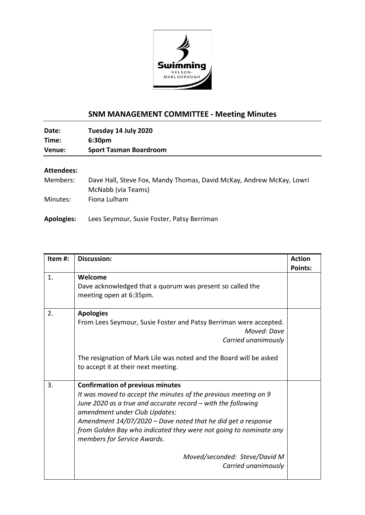

## **SNM MANAGEMENT COMMITTEE - Meeting Minutes**

**Date: Tuesday 14 July 2020 Time: 6:30pm Venue: Sport Tasman Boardroom**

## **Attendees:**

| Members: | Dave Hall, Steve Fox, Mandy Thomas, David McKay, Andrew McKay, Lowri |
|----------|----------------------------------------------------------------------|
|          | McNabb (via Teams)                                                   |
| Minutes: | Fiona Lulham                                                         |

**Apologies:** Lees Seymour, Susie Foster, Patsy Berriman

| Item#: | <b>Discussion:</b>                                                                                                                                                                                                                                                                                                                                                                                                                        | <b>Action</b><br><b>Points:</b> |
|--------|-------------------------------------------------------------------------------------------------------------------------------------------------------------------------------------------------------------------------------------------------------------------------------------------------------------------------------------------------------------------------------------------------------------------------------------------|---------------------------------|
| 1.     | Welcome<br>Dave acknowledged that a quorum was present so called the<br>meeting open at 6:35pm.                                                                                                                                                                                                                                                                                                                                           |                                 |
| 2.     | <b>Apologies</b><br>From Lees Seymour, Susie Foster and Patsy Berriman were accepted.<br>Moved: Dave<br>Carried unanimously<br>The resignation of Mark Lile was noted and the Board will be asked<br>to accept it at their next meeting.                                                                                                                                                                                                  |                                 |
| 3.     | <b>Confirmation of previous minutes</b><br>It was moved to accept the minutes of the previous meeting on 9<br>June 2020 as a true and accurate record – with the following<br>amendment under Club Updates:<br>Amendment $14/07/2020$ – Dave noted that he did get a response<br>from Golden Bay who indicated they were not going to nominate any<br>members for Service Awards.<br>Moved/seconded: Steve/David M<br>Carried unanimously |                                 |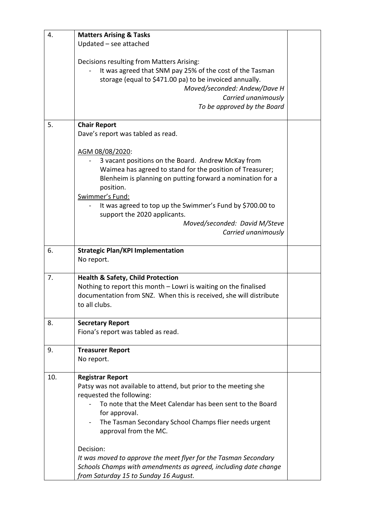| 4.  | <b>Matters Arising &amp; Tasks</b>                                 |  |
|-----|--------------------------------------------------------------------|--|
|     | Updated - see attached                                             |  |
|     |                                                                    |  |
|     | Decisions resulting from Matters Arising:                          |  |
|     | It was agreed that SNM pay 25% of the cost of the Tasman           |  |
|     | storage (equal to \$471.00 pa) to be invoiced annually.            |  |
|     | Moved/seconded: Andew/Dave H                                       |  |
|     | Carried unanimously                                                |  |
|     | To be approved by the Board                                        |  |
|     |                                                                    |  |
| 5.  | <b>Chair Report</b>                                                |  |
|     | Dave's report was tabled as read.                                  |  |
|     |                                                                    |  |
|     | AGM 08/08/2020:                                                    |  |
|     | 3 vacant positions on the Board. Andrew McKay from                 |  |
|     | Waimea has agreed to stand for the position of Treasurer;          |  |
|     | Blenheim is planning on putting forward a nomination for a         |  |
|     | position.                                                          |  |
|     | Swimmer's Fund:                                                    |  |
|     | It was agreed to top up the Swimmer's Fund by \$700.00 to          |  |
|     | support the 2020 applicants.                                       |  |
|     | Moved/seconded: David M/Steve                                      |  |
|     | Carried unanimously                                                |  |
|     |                                                                    |  |
| 6.  | <b>Strategic Plan/KPI Implementation</b>                           |  |
|     | No report.                                                         |  |
|     |                                                                    |  |
| 7.  | <b>Health &amp; Safety, Child Protection</b>                       |  |
|     | Nothing to report this month - Lowri is waiting on the finalised   |  |
|     | documentation from SNZ. When this is received, she will distribute |  |
|     | to all clubs.                                                      |  |
|     |                                                                    |  |
| 8.  | <b>Secretary Report</b>                                            |  |
|     | Fiona's report was tabled as read.                                 |  |
|     |                                                                    |  |
| 9.  | <b>Treasurer Report</b>                                            |  |
|     | No report.                                                         |  |
|     |                                                                    |  |
| 10. | <b>Registrar Report</b>                                            |  |
|     | Patsy was not available to attend, but prior to the meeting she    |  |
|     | requested the following:                                           |  |
|     | To note that the Meet Calendar has been sent to the Board          |  |
|     | for approval.                                                      |  |
|     | The Tasman Secondary School Champs flier needs urgent              |  |
|     | approval from the MC.                                              |  |
|     |                                                                    |  |
|     | Decision:                                                          |  |
|     | It was moved to approve the meet flyer for the Tasman Secondary    |  |
|     | Schools Champs with amendments as agreed, including date change    |  |
|     | from Saturday 15 to Sunday 16 August.                              |  |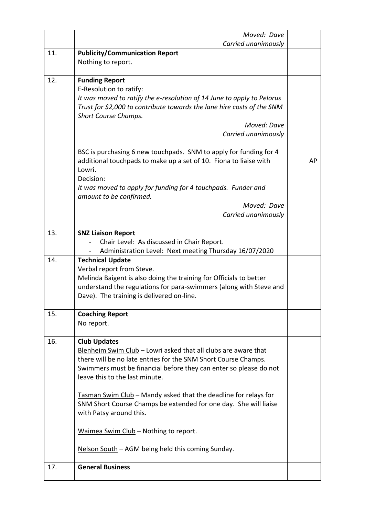|     | Moved: Dave                                                                                                                                                                                                                                                                                                                                                                                                                                                                                                                    |    |
|-----|--------------------------------------------------------------------------------------------------------------------------------------------------------------------------------------------------------------------------------------------------------------------------------------------------------------------------------------------------------------------------------------------------------------------------------------------------------------------------------------------------------------------------------|----|
|     | Carried unanimously                                                                                                                                                                                                                                                                                                                                                                                                                                                                                                            |    |
| 11. | <b>Publicity/Communication Report</b><br>Nothing to report.                                                                                                                                                                                                                                                                                                                                                                                                                                                                    |    |
| 12. | <b>Funding Report</b><br>E-Resolution to ratify:<br>It was moved to ratify the e-resolution of 14 June to apply to Pelorus<br>Trust for \$2,000 to contribute towards the lane hire costs of the SNM<br><b>Short Course Champs.</b><br>Moved: Dave<br>Carried unanimously                                                                                                                                                                                                                                                      |    |
|     | BSC is purchasing 6 new touchpads. SNM to apply for funding for 4<br>additional touchpads to make up a set of 10. Fiona to liaise with<br>Lowri.<br>Decision:<br>It was moved to apply for funding for 4 touchpads. Funder and<br>amount to be confirmed.<br>Moved: Dave<br>Carried unanimously                                                                                                                                                                                                                                | AP |
| 13. | <b>SNZ Liaison Report</b><br>Chair Level: As discussed in Chair Report.<br>Administration Level: Next meeting Thursday 16/07/2020                                                                                                                                                                                                                                                                                                                                                                                              |    |
| 14. | <b>Technical Update</b><br>Verbal report from Steve.<br>Melinda Baigent is also doing the training for Officials to better<br>understand the regulations for para-swimmers (along with Steve and<br>Dave). The training is delivered on-line.                                                                                                                                                                                                                                                                                  |    |
| 15. | <b>Coaching Report</b><br>No report.                                                                                                                                                                                                                                                                                                                                                                                                                                                                                           |    |
| 16. | <b>Club Updates</b><br>Blenheim Swim Club - Lowri asked that all clubs are aware that<br>there will be no late entries for the SNM Short Course Champs.<br>Swimmers must be financial before they can enter so please do not<br>leave this to the last minute.<br>Tasman Swim Club - Mandy asked that the deadline for relays for<br>SNM Short Course Champs be extended for one day. She will liaise<br>with Patsy around this.<br>Waimea Swim Club - Nothing to report.<br>Nelson South – AGM being held this coming Sunday. |    |
| 17. | <b>General Business</b>                                                                                                                                                                                                                                                                                                                                                                                                                                                                                                        |    |